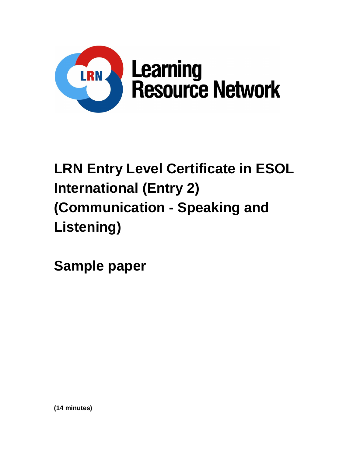

# **LRN Entry Level Certificate in ESOL International (Entry 2) (Communication - Speaking and Listening)**

**Sample paper**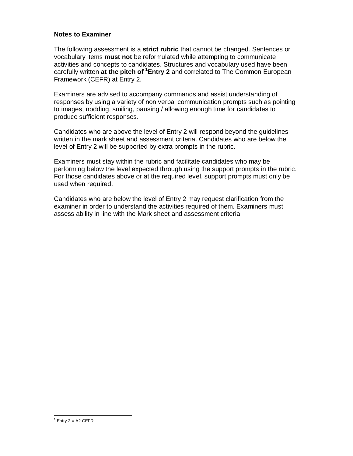#### **Notes to Examiner**

The following assessment is a **strict rubric** that cannot be changed. Sentences or vocabulary items **must not** be reformulated while attempting to communicate activities and concepts to candidates. Structures and vocabulary used have been carefully written **at the pitch of <sup>1</sup>Entry 2** and correlated to The Common European Framework (CEFR) at Entry 2.

Examiners are advised to accompany commands and assist understanding of responses by using a variety of non verbal communication prompts such as pointing to images, nodding, smiling, pausing / allowing enough time for candidates to produce sufficient responses.

Candidates who are above the level of Entry 2 will respond beyond the guidelines written in the mark sheet and assessment criteria. Candidates who are below the level of Entry 2 will be supported by extra prompts in the rubric.

Examiners must stay within the rubric and facilitate candidates who may be performing below the level expected through using the support prompts in the rubric. For those candidates above or at the required level, support prompts must only be used when required.

Candidates who are below the level of Entry 2 may request clarification from the examiner in order to understand the activities required of them. Examiners must assess ability in line with the Mark sheet and assessment criteria.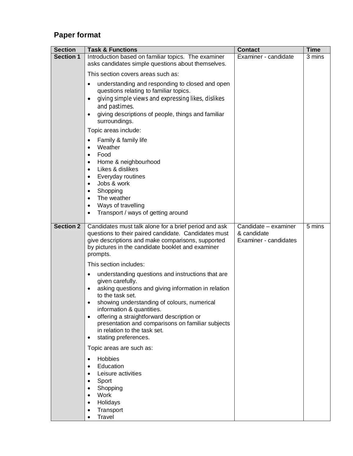## **Paper format**

| <b>Section</b>   | <b>Task &amp; Functions</b>                                                                                                                                                                                                                                                                                                                                                                                                                     | <b>Contact</b>                                               | <b>Time</b> |
|------------------|-------------------------------------------------------------------------------------------------------------------------------------------------------------------------------------------------------------------------------------------------------------------------------------------------------------------------------------------------------------------------------------------------------------------------------------------------|--------------------------------------------------------------|-------------|
| <b>Section 1</b> | Introduction based on familiar topics. The examiner<br>asks candidates simple questions about themselves.                                                                                                                                                                                                                                                                                                                                       | Examiner - candidate                                         | 3 mins      |
|                  | This section covers areas such as:                                                                                                                                                                                                                                                                                                                                                                                                              |                                                              |             |
|                  | understanding and responding to closed and open<br>$\bullet$<br>questions relating to familiar topics.<br>giving simple views and expressing likes, dislikes<br>$\bullet$<br>and pastimes.<br>giving descriptions of people, things and familiar<br>$\bullet$<br>surroundings.                                                                                                                                                                  |                                                              |             |
|                  | Topic areas include:                                                                                                                                                                                                                                                                                                                                                                                                                            |                                                              |             |
|                  | Family & family life<br>$\bullet$<br>Weather<br>$\bullet$<br>Food<br>$\bullet$<br>Home & neighbourhood<br>$\bullet$<br>Likes & dislikes<br>$\bullet$<br>Everyday routines<br>$\bullet$<br>Jobs & work<br>$\bullet$<br>Shopping<br>$\bullet$<br>The weather<br>$\bullet$<br>Ways of travelling<br>$\bullet$<br>Transport / ways of getting around<br>٠                                                                                           |                                                              |             |
| <b>Section 2</b> | Candidates must talk alone for a brief period and ask<br>questions to their paired candidate. Candidates must<br>give descriptions and make comparisons, supported<br>by pictures in the candidate booklet and examiner<br>prompts.                                                                                                                                                                                                             | Candidate - examiner<br>& candidate<br>Examiner - candidates | 5 mins      |
|                  | This section includes:                                                                                                                                                                                                                                                                                                                                                                                                                          |                                                              |             |
|                  | understanding questions and instructions that are<br>$\bullet$<br>given carefully.<br>asking questions and giving information in relation<br>$\bullet$<br>to the task set.<br>showing understanding of colours, numerical<br>٠<br>information & quantities.<br>offering a straightforward description or<br>$\bullet$<br>presentation and comparisons on familiar subjects<br>in relation to the task set.<br>stating preferences.<br>$\bullet$ |                                                              |             |
|                  | Topic areas are such as:                                                                                                                                                                                                                                                                                                                                                                                                                        |                                                              |             |
|                  | Hobbies<br>$\bullet$<br>Education<br>$\bullet$<br>Leisure activities<br>$\bullet$<br>Sport<br>$\bullet$<br>Shopping<br>$\bullet$<br>Work<br>Holidays<br>$\bullet$<br>Transport<br>Travel                                                                                                                                                                                                                                                        |                                                              |             |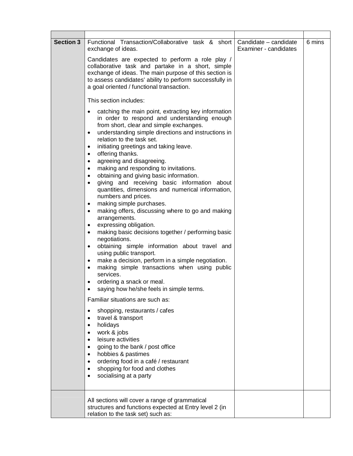| <b>Section 3</b> | Functional Transaction/Collaborative task & short<br>exchange of ideas.                                                                                                                                                                                                                                                                                                                                                                                                                                                                                                                                                                                                                                                                                                                                                                                                                                                                                                                                                                                                                                                                                                           | Candidate - candidate<br>Examiner - candidates | 6 mins |
|------------------|-----------------------------------------------------------------------------------------------------------------------------------------------------------------------------------------------------------------------------------------------------------------------------------------------------------------------------------------------------------------------------------------------------------------------------------------------------------------------------------------------------------------------------------------------------------------------------------------------------------------------------------------------------------------------------------------------------------------------------------------------------------------------------------------------------------------------------------------------------------------------------------------------------------------------------------------------------------------------------------------------------------------------------------------------------------------------------------------------------------------------------------------------------------------------------------|------------------------------------------------|--------|
|                  | Candidates are expected to perform a role play /<br>collaborative task and partake in a short, simple<br>exchange of ideas. The main purpose of this section is<br>to assess candidates' ability to perform successfully in<br>a goal oriented / functional transaction.                                                                                                                                                                                                                                                                                                                                                                                                                                                                                                                                                                                                                                                                                                                                                                                                                                                                                                          |                                                |        |
|                  | This section includes:                                                                                                                                                                                                                                                                                                                                                                                                                                                                                                                                                                                                                                                                                                                                                                                                                                                                                                                                                                                                                                                                                                                                                            |                                                |        |
|                  | catching the main point, extracting key information<br>$\bullet$<br>in order to respond and understanding enough<br>from short, clear and simple exchanges.<br>understanding simple directions and instructions in<br>٠<br>relation to the task set.<br>initiating greetings and taking leave.<br>٠<br>offering thanks.<br>$\bullet$<br>agreeing and disagreeing.<br>٠<br>making and responding to invitations.<br>$\bullet$<br>obtaining and giving basic information.<br>$\bullet$<br>giving and receiving basic information about<br>$\bullet$<br>quantities, dimensions and numerical information,<br>numbers and prices.<br>making simple purchases.<br>$\bullet$<br>making offers, discussing where to go and making<br>$\bullet$<br>arrangements.<br>expressing obligation.<br>$\bullet$<br>making basic decisions together / performing basic<br>$\bullet$<br>negotiations.<br>obtaining simple information about travel and<br>$\bullet$<br>using public transport.<br>make a decision, perform in a simple negotiation.<br>٠<br>making simple transactions when using public<br>٠<br>services.<br>ordering a snack or meal.<br>saying how he/she feels in simple terms. |                                                |        |
|                  | Familiar situations are such as:                                                                                                                                                                                                                                                                                                                                                                                                                                                                                                                                                                                                                                                                                                                                                                                                                                                                                                                                                                                                                                                                                                                                                  |                                                |        |
|                  | shopping, restaurants / cafes<br>$\bullet$<br>travel & transport<br>$\bullet$<br>holidays<br>$\bullet$<br>work & jobs<br>$\bullet$<br>leisure activities<br>$\bullet$<br>going to the bank / post office<br>hobbies & pastimes<br>$\bullet$<br>ordering food in a café / restaurant<br>٠<br>shopping for food and clothes<br>socialising at a party<br>$\bullet$                                                                                                                                                                                                                                                                                                                                                                                                                                                                                                                                                                                                                                                                                                                                                                                                                  |                                                |        |
|                  | All sections will cover a range of grammatical<br>structures and functions expected at Entry level 2 (in<br>relation to the task set) such as:                                                                                                                                                                                                                                                                                                                                                                                                                                                                                                                                                                                                                                                                                                                                                                                                                                                                                                                                                                                                                                    |                                                |        |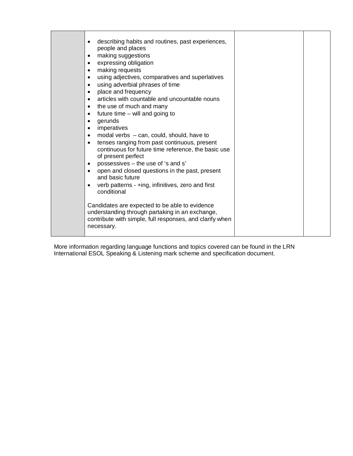| describing habits and routines, past experiences,<br>$\bullet$<br>people and places<br>making suggestions<br>$\bullet$<br>expressing obligation<br>$\bullet$<br>making requests<br>$\bullet$<br>using adjectives, comparatives and superlatives<br>$\bullet$<br>using adverbial phrases of time<br>$\bullet$<br>place and frequency<br>$\bullet$<br>articles with countable and uncountable nouns<br>$\bullet$<br>the use of much and many<br>$\bullet$<br>future time - will and going to<br>$\bullet$<br>gerunds<br>$\bullet$<br>imperatives<br>$\bullet$<br>modal verbs $-$ can, could, should, have to<br>$\bullet$<br>tenses ranging from past continuous, present<br>$\bullet$<br>continuous for future time reference, the basic use<br>of present perfect<br>possessives - the use of 's and s'<br>$\bullet$<br>open and closed questions in the past, present<br>and basic future<br>verb patterns - +ing, infinitives, zero and first<br>$\bullet$<br>conditional |  |
|-----------------------------------------------------------------------------------------------------------------------------------------------------------------------------------------------------------------------------------------------------------------------------------------------------------------------------------------------------------------------------------------------------------------------------------------------------------------------------------------------------------------------------------------------------------------------------------------------------------------------------------------------------------------------------------------------------------------------------------------------------------------------------------------------------------------------------------------------------------------------------------------------------------------------------------------------------------------------------|--|
| Candidates are expected to be able to evidence<br>understanding through partaking in an exchange,<br>contribute with simple, full responses, and clarify when<br>necessary.                                                                                                                                                                                                                                                                                                                                                                                                                                                                                                                                                                                                                                                                                                                                                                                                 |  |

More information regarding language functions and topics covered can be found in the LRN International ESOL Speaking & Listening mark scheme and specification document.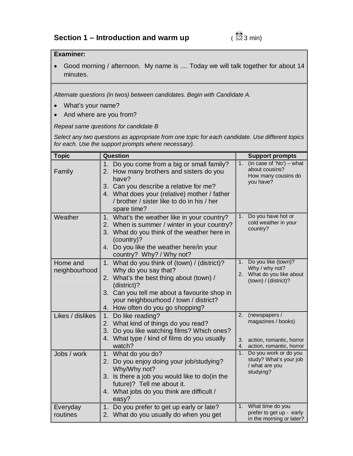#### **Examiner:**

 Good morning / afternoon. My name is .... Today we will talk together for about 14 minutes.

*Alternate questions (in twos) between candidates. Begin with Candidate A.*

- What's your name?
- And where are you from?

*Repeat same questions for candidate B*

*Select any two questions as appropriate from one topic for each candidate. Use different topics for each. Use the support prompts where necessary).*

| <b>Topic</b>              | Question                                                                                                                                                                                                                                                    |                  | <b>Support prompts</b>                                                                      |
|---------------------------|-------------------------------------------------------------------------------------------------------------------------------------------------------------------------------------------------------------------------------------------------------------|------------------|---------------------------------------------------------------------------------------------|
| Family                    | 1. Do you come from a big or small family?<br>2. How many brothers and sisters do you<br>have?<br>3. Can you describe a relative for me?<br>4. What does your (relative) mother / father<br>/ brother / sister like to do in his / her<br>spare time?       | $\overline{1}$ . | $(in case of 'No') - what$<br>about cousins?<br>How many cousins do<br>you have?            |
| Weather                   | What's the weather like in your country?<br>1 <sub>1</sub><br>2. When is summer / winter in your country?<br>3. What do you think of the weather here in<br>(country)?<br>4. Do you like the weather here/in your<br>country? Why? / Why not?               | 1.               | Do you have hot or<br>cold weather in your<br>country?                                      |
| Home and<br>neighbourhood | 1. What do you think of (town) / (district)?<br>Why do you say that?<br>2. What's the best thing about (town) /<br>(district)?<br>3. Can you tell me about a favourite shop in<br>your neighbourhood / town / district?<br>4. How often do you go shopping? | 1.               | Do you like (town)?<br>Why / why not?<br>2. What do you like about<br>(town) / (district)?  |
| Likes / dislikes          | Do like reading?<br>1.<br>2. What kind of things do you read?<br>3. Do you like watching films? Which ones?<br>4. What type / kind of films do you usually<br>watch?                                                                                        | 2.<br>3.<br>4.   | (newspapers /<br>magazines / books)<br>action, romantic, horror<br>action, romantic, horror |
| Jobs / work               | 1. What do you do?<br>2. Do you enjoy doing your job/studying?<br>Why/Why not?<br>3. Is there a job you would like to do(in the<br>future)? Tell me about it.<br>4. What jobs do you think are difficult /<br>easy?                                         | 1.               | Do you work or do you<br>study? What's your job<br>/ what are you<br>studying?              |
| Everyday<br>routines      | Do you prefer to get up early or late?<br>1.<br>2. What do you usually do when you get                                                                                                                                                                      | 1.               | What time do you<br>prefer to get up - early<br>in the morning or later?                    |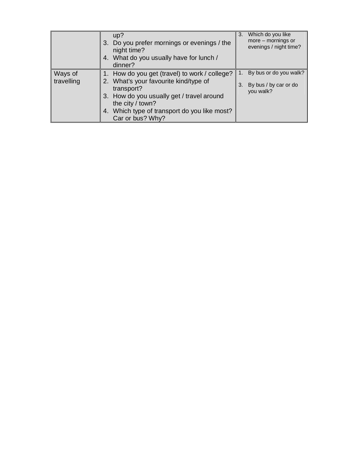|                       | up?<br>3. Do you prefer mornings or evenings / the<br>night time?<br>4. What do you usually have for lunch /<br>dinner?                                                                                                                     |    | 3. Which do you like<br>$more - morning$ s or<br>evenings / night time? |
|-----------------------|---------------------------------------------------------------------------------------------------------------------------------------------------------------------------------------------------------------------------------------------|----|-------------------------------------------------------------------------|
| Ways of<br>travelling | 1. How do you get (travel) to work / college?<br>2. What's your favourite kind/type of<br>transport?<br>3. How do you usually get / travel around<br>the city $/$ town?<br>4. Which type of transport do you like most?<br>Car or bus? Why? | 3. | 1. By bus or do you walk?<br>By bus / by car or do<br>you walk?         |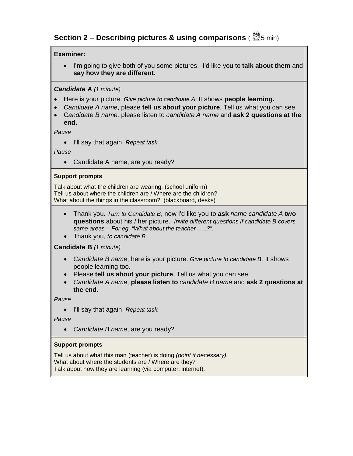## **Section 2 – Describing pictures & using comparisons ( <sup>3</sup>5 min)**

#### **Examiner:**

 I'm going to give both of you some pictures. I'd like you to **talk about them** and **say how they are different.**

#### *Candidate A (1 minute)*

- Here is your picture. *Give picture to candidate A*. It shows **people learning.**
- *Candidate A name*, please **tell us about your picture**. Tell us what you can see.
- C*andidate B name,* please listen to *candidate A name* and **ask 2 questions at the end.**

*Pause*

I'll say that again. *Repeat task*.

*Pause*

• Candidate A name, are you ready?

#### **Support prompts**

Talk about what the children are wearing. (school uniform) Tell us about where the children are / Where are the children? What about the things in the classroom? (blackboard, desks)

- Thank you. *Turn to Candidate B*, now I'd like you to **ask** *name candidate A* **two questions** about his / her picture. *Invite different questions if candidate B covers same areas – For eg. "What about the teacher …..?".*
- Thank you, *to candidate B*.

#### **Candidate B** *(1 minute)*

- *Candidate B name*, here is your picture. *Give picture to candidate B.* It shows people learning too.
- Please **tell us about your picture**. Tell us what you can see.
- *Candidate A name*, **please listen to** *candidate B name* and **ask 2 questions at the end.**

*Pause*

I'll say that again. *Repeat task.*

#### *Pause*

*Candidate B name*, are you ready?

#### **Support prompts**

Tell us about what this man (teacher) is doing *(point if necessary).* What about where the students are / Where are they? Talk about how they are learning (via computer, internet).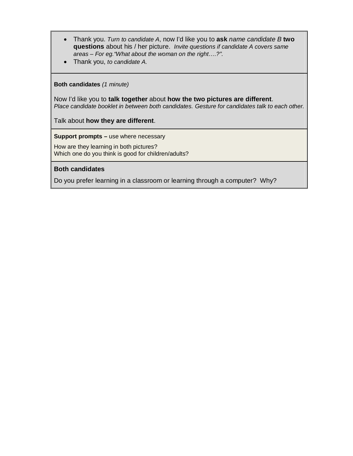- Thank you. *Turn to candidate A*, now I'd like you to **ask** *name candidate B* **two questions** about his / her picture. *Invite questions if candidate A covers same areas – For eg."What about the woman on the right….?".*
- Thank you, *to candidate A.*

#### **Both candidates** *(1 minute)*

Now I'd like you to **talk together** about **how the two pictures are different**. *Place candidate booklet in between both candidates. Gesture for candidates talk to each other.*

Talk about **how they are different**.

**Support prompts –** use where necessary

How are they learning in both pictures? Which one do you think is good for children/adults?

#### **Both candidates**

Do you prefer learning in a classroom or learning through a computer? Why?